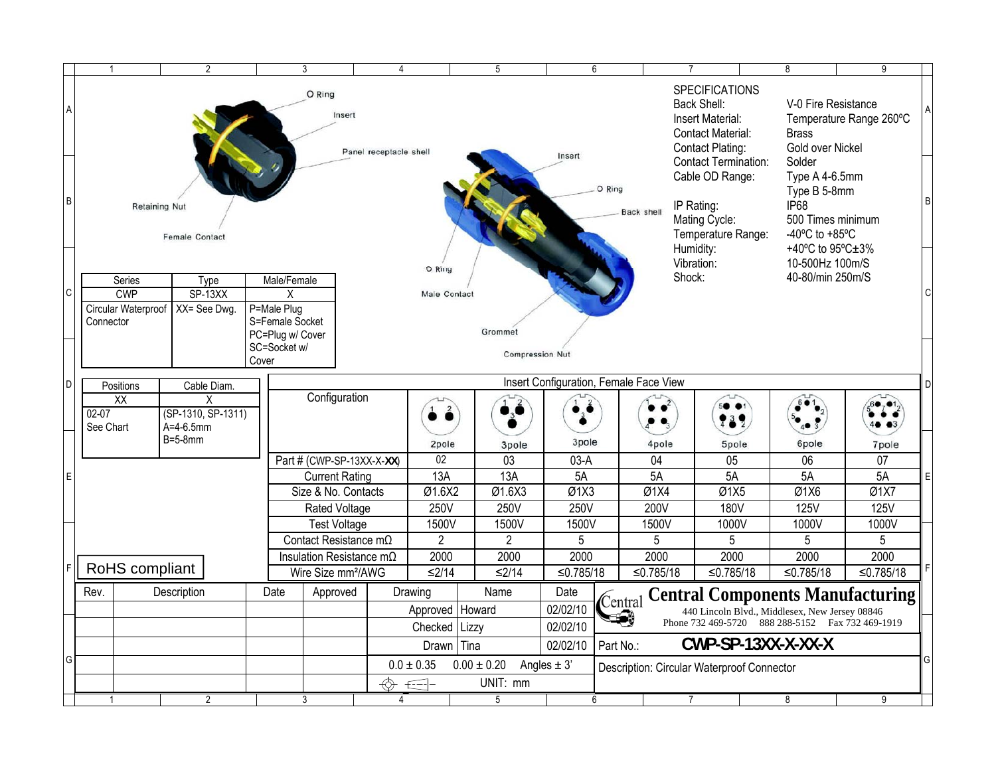|                                                                                                | $\mathbf{1}$                                                                                                   |                      | $\overline{2}$                    |                       | 3                                                                 |               | 4                      |                        |                 | 5               |                                       | 6         |                   | 7                                                                                                        | 8                                   | 9                                                                                                               |  |
|------------------------------------------------------------------------------------------------|----------------------------------------------------------------------------------------------------------------|----------------------|-----------------------------------|-----------------------|-------------------------------------------------------------------|---------------|------------------------|------------------------|-----------------|-----------------|---------------------------------------|-----------|-------------------|----------------------------------------------------------------------------------------------------------|-------------------------------------|-----------------------------------------------------------------------------------------------------------------|--|
| $\overline{A}$                                                                                 |                                                                                                                |                      |                                   |                       | O Ring                                                            | Insert        |                        |                        |                 |                 |                                       |           |                   | <b>SPECIFICATIONS</b><br>Back Shell:<br>Insert Material:<br>Contact Material:<br><b>Contact Plating:</b> | <b>Brass</b><br>Gold over Nickel    | V-0 Fire Resistance<br>Temperature Range 260°C                                                                  |  |
| lв                                                                                             |                                                                                                                | <b>Retaining Nut</b> | <b>Female Contact</b>             |                       |                                                                   |               | Panel receptacle shell |                        |                 |                 | Insert<br>O Ring<br><b>Back shell</b> |           |                   | <b>Contact Termination:</b><br>Cable OD Range:<br>IP Rating:<br>Mating Cycle:<br>Temperature Range:      | Solder<br><b>IP68</b>               | Type A 4-6.5mm<br>Type B 5-8mm<br>500 Times minimum<br>-40 $^{\circ}$ C to +85 $^{\circ}$ C<br>+40°C to 95°C±3% |  |
| lc                                                                                             | Series<br><b>CWP</b><br>Circular Waterproof<br>Connector                                                       |                      | Type<br>$SP-13XX$<br>XX= See Dwg. | P=Male Plug           | Male/Female<br>X<br>S=Female Socket<br>PC=Plug w/ Cover           |               |                        | O Ring<br>Male Contact |                 | Grommet         |                                       |           |                   | Humidity:<br>Vibration:<br>Shock:                                                                        | 10-500Hz 100m/S<br>40-80/min 250m/S |                                                                                                                 |  |
| SC=Socket w/<br><b>Compression Nut</b><br>Cover<br>Insert Configuration, Female Face View<br>D |                                                                                                                |                      |                                   |                       |                                                                   |               |                        |                        |                 |                 |                                       |           |                   |                                                                                                          |                                     |                                                                                                                 |  |
|                                                                                                | Positions<br>Cable Diam.<br>$\overline{XX}$<br>X<br>(SP-1310, SP-1311)<br>$02-07$<br>$A=4-6.5$ mm<br>See Chart |                      |                                   |                       | Configuration                                                     |               |                        |                        |                 |                 |                                       |           |                   |                                                                                                          |                                     |                                                                                                                 |  |
|                                                                                                |                                                                                                                |                      | $B=5-8mm$                         |                       |                                                                   |               |                        | 2pole                  |                 | 3pole           | 3pole                                 |           | 4pole             | 5pole                                                                                                    | 6pole                               | 7pole                                                                                                           |  |
|                                                                                                |                                                                                                                |                      |                                   |                       | Part # (CWP-SP-13XX-X-XX)                                         |               |                        | 02                     |                 | 03              | $03-A$                                |           | 04<br>5A          | 05                                                                                                       | $\overline{06}$                     | 07                                                                                                              |  |
| IЕ                                                                                             |                                                                                                                |                      |                                   | <b>Current Rating</b> |                                                                   |               | 13A                    |                        |                 | 13A             | 5A                                    |           |                   | 5A                                                                                                       | 5A                                  | 5A                                                                                                              |  |
|                                                                                                |                                                                                                                |                      |                                   |                       | Size & No. Contacts                                               |               |                        | Ø1.6X2                 |                 | Ø1.6X3          | Ø1X3                                  |           | Ø1X4              | Ø1X5                                                                                                     | Ø1X6                                | Ø1X7                                                                                                            |  |
|                                                                                                |                                                                                                                |                      |                                   |                       |                                                                   | Rated Voltage |                        | 250V                   |                 | 250V            | 250V                                  |           | 200V              | <b>180V</b>                                                                                              | <b>125V</b>                         | <b>125V</b>                                                                                                     |  |
|                                                                                                |                                                                                                                |                      |                                   |                       | <b>Test Voltage</b><br>Contact Resistance $m\Omega$               |               | 1500V                  |                        |                 | 1500V           | 1500V                                 |           | 1500V             | 1000V                                                                                                    | 1000V                               | 1000V                                                                                                           |  |
|                                                                                                |                                                                                                                |                      |                                   |                       |                                                                   |               |                        | $\overline{2}$         |                 | $\overline{2}$  | 5                                     |           | 5                 | 5                                                                                                        | 5                                   | 5                                                                                                               |  |
|                                                                                                |                                                                                                                | RoHS compliant       |                                   |                       | Insulation Resistance $m\Omega$<br>Wire Size mm <sup>2</sup> /AWG |               |                        | 2000<br>$≤2/14$        |                 | 2000<br>$≤2/14$ | 2000<br>≤0.785/18                     |           | 2000<br>≤0.785/18 | 2000<br>≤0.785/18                                                                                        | 2000<br>≤0.785/18                   | 2000<br>≤0.785/18                                                                                               |  |
|                                                                                                |                                                                                                                |                      |                                   |                       |                                                                   |               |                        |                        |                 |                 |                                       |           |                   |                                                                                                          |                                     |                                                                                                                 |  |
|                                                                                                | Rev.                                                                                                           |                      | Description                       | Date                  |                                                                   | Approved      |                        | Drawing                |                 | Name            | Date                                  | Central   |                   | <b>Central Components Manufacturing</b>                                                                  |                                     |                                                                                                                 |  |
|                                                                                                |                                                                                                                |                      |                                   |                       |                                                                   |               |                        | Approved   Howard      |                 |                 | 02/02/10                              | 1-9       |                   | 440 Lincoln Blvd., Middlesex, New Jersey 08846<br>Phone 732 469-5720 888 288-5152 Fax 732 469-1919       |                                     |                                                                                                                 |  |
|                                                                                                |                                                                                                                |                      |                                   |                       |                                                                   |               |                        | Checked   Lizzy        |                 |                 | 02/02/10                              |           |                   |                                                                                                          |                                     |                                                                                                                 |  |
|                                                                                                |                                                                                                                |                      |                                   |                       |                                                                   |               |                        | Drawn Tina             |                 |                 | 02/02/10                              | Part No.: |                   | CWP-SP-13XX-X-XX-X                                                                                       |                                     |                                                                                                                 |  |
| lG                                                                                             |                                                                                                                |                      |                                   |                       |                                                                   |               |                        | $0.0 \pm 0.35$         | $0.00 \pm 0.20$ |                 | Angles $\pm$ 3'                       |           |                   | Description: Circular Waterproof Connector                                                               |                                     |                                                                                                                 |  |
|                                                                                                |                                                                                                                |                      |                                   |                       |                                                                   |               | UNIT: mm<br>$\epsilon$ |                        |                 |                 |                                       |           |                   |                                                                                                          |                                     |                                                                                                                 |  |
|                                                                                                | 1                                                                                                              |                      | $\overline{2}$                    |                       | 3                                                                 |               | 4                      |                        |                 | $\overline{5}$  |                                       | 6         |                   | 7                                                                                                        | 8                                   | 9                                                                                                               |  |